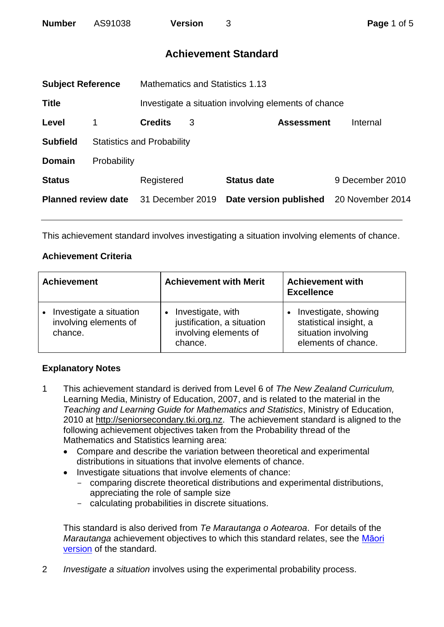# **Achievement Standard**

<span id="page-0-0"></span>

| <b>Subject Reference</b>   |                                                      | Mathematics and Statistics 1.13   |   |                        |                   |                  |
|----------------------------|------------------------------------------------------|-----------------------------------|---|------------------------|-------------------|------------------|
| <b>Title</b>               | Investigate a situation involving elements of chance |                                   |   |                        |                   |                  |
| Level                      |                                                      | <b>Credits</b>                    | 3 |                        | <b>Assessment</b> | Internal         |
| <b>Subfield</b>            |                                                      | <b>Statistics and Probability</b> |   |                        |                   |                  |
| <b>Domain</b>              | Probability                                          |                                   |   |                        |                   |                  |
| <b>Status</b>              |                                                      | Registered                        |   | <b>Status date</b>     |                   | 9 December 2010  |
| <b>Planned review date</b> |                                                      | 31 December 2019                  |   | Date version published |                   | 20 November 2014 |
|                            |                                                      |                                   |   |                        |                   |                  |

This achievement standard involves investigating a situation involving elements of chance.

## **Achievement Criteria**

| <b>Achievement</b>                                          | <b>Achievement with Merit</b>                                                       | <b>Achievement with</b><br><b>Excellence</b>                                                 |
|-------------------------------------------------------------|-------------------------------------------------------------------------------------|----------------------------------------------------------------------------------------------|
| Investigate a situation<br>involving elements of<br>chance. | Investigate, with<br>justification, a situation<br>involving elements of<br>chance. | Investigate, showing<br>statistical insight, a<br>situation involving<br>elements of chance. |

# **Explanatory Notes**

- 1 This achievement standard is derived from Level 6 of *The New Zealand Curriculum,* Learning Media, Ministry of Education, 2007, and is related to the material in the *Teaching and Learning Guide for Mathematics and Statistics*, Ministry of Education, 2010 at [http://seniorsecondary.tki.org.nz.](http://seniorsecondary.tki.org.nz/) The achievement standard is aligned to the following achievement objectives taken from the Probability thread of the Mathematics and Statistics learning area:
	- Compare and describe the variation between theoretical and experimental distributions in situations that involve elements of chance.
	- Investigate situations that involve elements of chance:
		- comparing discrete theoretical distributions and experimental distributions, appreciating the role of sample size
		- calculating probabilities in discrete situations.

This standard is also derived from *Te Marautanga o Aotearoa*. For details of the *Marautanga* achievement objectives to which this standard relates, see the [Māori](#page-2-0)  [version](#page-2-0) of the standard.

2 *Investigate a situation* involves using the experimental probability process.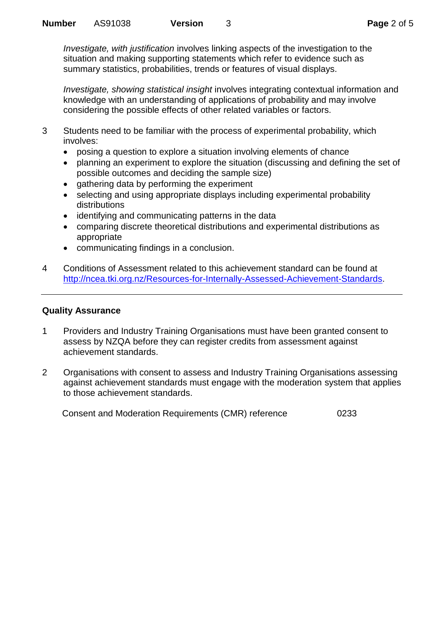*Investigate, with justification* involves linking aspects of the investigation to the situation and making supporting statements which refer to evidence such as summary statistics, probabilities, trends or features of visual displays.

*Investigate, showing statistical insight* involves integrating contextual information and knowledge with an understanding of applications of probability and may involve considering the possible effects of other related variables or factors.

- 3 Students need to be familiar with the process of experimental probability, which involves:
	- posing a question to explore a situation involving elements of chance
	- planning an experiment to explore the situation (discussing and defining the set of possible outcomes and deciding the sample size)
	- gathering data by performing the experiment
	- selecting and using appropriate displays including experimental probability distributions
	- identifying and communicating patterns in the data
	- comparing discrete theoretical distributions and experimental distributions as appropriate
	- communicating findings in a conclusion.
- 4 Conditions of Assessment related to this achievement standard can be found at [http://ncea.tki.org.nz/Resources-for-Internally-Assessed-Achievement-Standards.](http://ncea.tki.org.nz/Resources-for-Internally-Assessed-Achievement-Standards)

### **Quality Assurance**

- 1 Providers and Industry Training Organisations must have been granted consent to assess by NZQA before they can register credits from assessment against achievement standards.
- 2 Organisations with consent to assess and Industry Training Organisations assessing against achievement standards must engage with the moderation system that applies to those achievement standards.

Consent and Moderation Requirements (CMR) reference 0233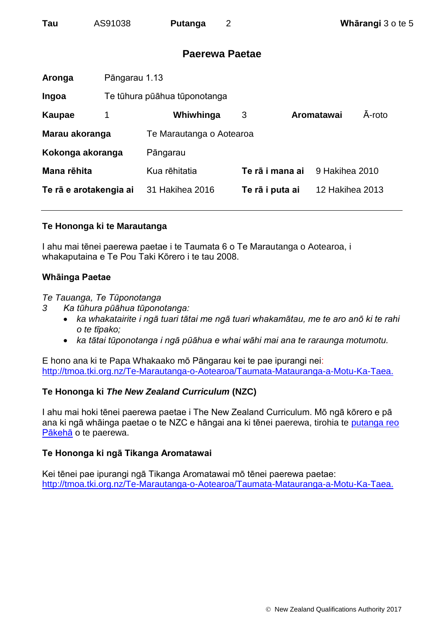<span id="page-2-0"></span>

| Tau | AS91038 | Putanga |
|-----|---------|---------|
|-----|---------|---------|

# **Paerewa Paetae**

| Aronga                 | Pāngarau 1.13 |                              |                 |  |                        |        |
|------------------------|---------------|------------------------------|-----------------|--|------------------------|--------|
| Ingoa                  |               | Te tūhura pūāhua tūponotanga |                 |  |                        |        |
| Kaupae                 | 1             | Whiwhinga                    | 3               |  | Aromatawai             | A-roto |
| Marau akoranga         |               | Te Marautanga o Aotearoa     |                 |  |                        |        |
| Kokonga akoranga       |               | Pāngarau                     |                 |  |                        |        |
| Mana rēhita            |               | Kua rēhitatia                | Te rā i mana ai |  | 9 Hakihea 2010         |        |
| Te rā e arotakengia ai |               | 31 Hakihea 2016              | Te rā i puta ai |  | <b>12 Hakihea 2013</b> |        |
|                        |               |                              |                 |  |                        |        |

### **Te Hononga ki te Marautanga**

I ahu mai tēnei paerewa paetae i te Taumata 6 o Te Marautanga o Aotearoa, i whakaputaina e Te Pou Taki Kōrero i te tau 2008.

### **Whāinga Paetae**

*Te Tauanga, Te Tūponotanga*

- *3 Ka tūhura pūāhua tūponotanga:*
	- *ka whakatairite i ngā tuari tātai me ngā tuari whakamātau, me te aro anō ki te rahi o te tīpako;*
	- *ka tātai tūponotanga i ngā pūāhua e whai wāhi mai ana te raraunga motumotu.*

E hono ana ki te Papa Whakaako mō Pāngarau kei te pae ipurangi nei: [http://tmoa.tki.org.nz/Te-Marautanga-o-Aotearoa/Taumata-Matauranga-a-Motu-Ka-Taea.](http://tmoa.tki.org.nz/Te-Marautanga-o-Aotearoa/Taumata-Matauranga-a-Motu-Ka-Taea)

### **Te Hononga ki** *The New Zealand Curriculum* **(NZC)**

I ahu mai hoki tēnei paerewa paetae i The New Zealand Curriculum. Mō ngā kōrero e pā ana ki ngā whāinga paetae o te NZC e hāngai ana ki tēnei paerewa, tirohia te [putanga reo](#page-0-0)  [Pākehā](#page-0-0) o te paerewa.

### **Te Hononga ki ngā Tikanga Aromatawai**

Kei tēnei pae ipurangi ngā Tikanga Aromatawai mō tēnei paerewa paetae: [http://tmoa.tki.org.nz/Te-Marautanga-o-Aotearoa/Taumata-Matauranga-a-Motu-Ka-Taea.](http://tmoa.tki.org.nz/Te-Marautanga-o-Aotearoa/Taumata-Matauranga-a-Motu-Ka-Taea)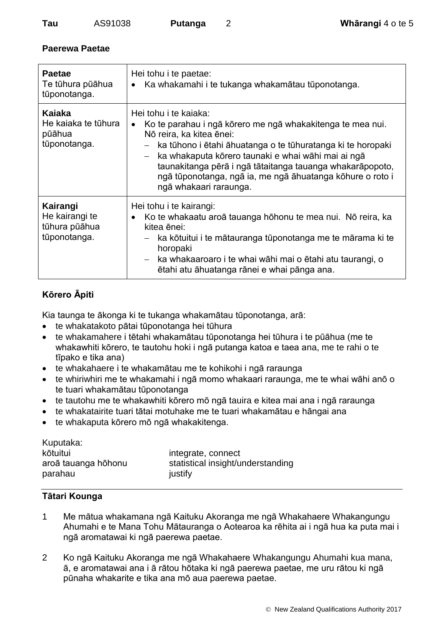# **Paerewa Paetae**

| <b>Paetae</b><br>Te tūhura pūāhua<br>tūponotanga.           | Hei tohu i te paetae:<br>Ka whakamahi i te tukanga whakamātau tūponotanga.                                                                                                                                                                                                                                                                                                                                                    |
|-------------------------------------------------------------|-------------------------------------------------------------------------------------------------------------------------------------------------------------------------------------------------------------------------------------------------------------------------------------------------------------------------------------------------------------------------------------------------------------------------------|
| Kaiaka<br>He kajaka te tūhura<br>pūāhua<br>tūponotanga.     | Hei tohu i te kajaka:<br>Ko te parahau i ngā kōrero me ngā whakakitenga te mea nui.<br>Nō reira, ka kitea ēnei:<br>ka tūhono i ētahi āhuatanga o te tūhuratanga ki te horopaki<br>$\overline{\phantom{m}}$<br>ka whakaputa kōrero taunaki e whai wāhi mai ai ngā<br>$ \,$<br>taunakitanga pērā i ngā tātaitanga tauanga whakarāpopoto,<br>ngā tūponotanga, ngā ia, me ngā āhuatanga kōhure o roto i<br>ngā whakaari raraunga. |
| Kairangi<br>He kairangi te<br>tūhura pūāhua<br>tūponotanga. | Hei tohu i te kairangi:<br>Ko te whakaatu aroā tauanga hōhonu te mea nui. Nō reira, ka<br>kitea ēnei:<br>ka kōtuitui i te mātauranga tūponotanga me te mārama ki te<br>$\overline{\phantom{m}}$<br>horopaki<br>- ka whakaaroaro i te whai wāhi mai o ētahi atu taurangi, o<br>ētahi atu āhuatanga rānei e whai pānga ana.                                                                                                     |

# **Kōrero Āpiti**

Kia taunga te ākonga ki te tukanga whakamātau tūponotanga, arā:

- te whakatakoto pātai tūponotanga hei tūhura
- te whakamahere i tētahi whakamātau tūponotanga hei tūhura i te pūāhua (me te whakawhiti kōrero, te tautohu hoki i ngā putanga katoa e taea ana, me te rahi o te tīpako e tika ana)
- te whakahaere i te whakamātau me te kohikohi i ngā raraunga
- te whiriwhiri me te whakamahi i ngā momo whakaari raraunga, me te whai wāhi anō o te tuari whakamātau tūponotanga
- te tautohu me te whakawhiti kōrero mō ngā tauira e kitea mai ana i ngā raraunga
- te whakatairite tuari tātai motuhake me te tuari whakamātau e hāngai ana
- te whakaputa kōrero mō ngā whakakitenga.

| Kuputaka:                      |                                              |
|--------------------------------|----------------------------------------------|
| kōtuitui                       | integrate, connect                           |
| aroā tauanga hōhonu<br>parahau | statistical insight/understanding<br>justify |

# **Tātari Kounga**

- 1 Me mātua whakamana ngā Kaituku Akoranga me ngā Whakahaere Whakangungu Ahumahi e te Mana Tohu Mātauranga o Aotearoa ka rēhita ai i ngā hua ka puta mai i ngā aromatawai ki ngā paerewa paetae.
- 2 Ko ngā Kaituku Akoranga me ngā Whakahaere Whakangungu Ahumahi kua mana, ā, e aromatawai ana i ā rātou hōtaka ki ngā paerewa paetae, me uru rātou ki ngā pūnaha whakarite e tika ana mō aua paerewa paetae.